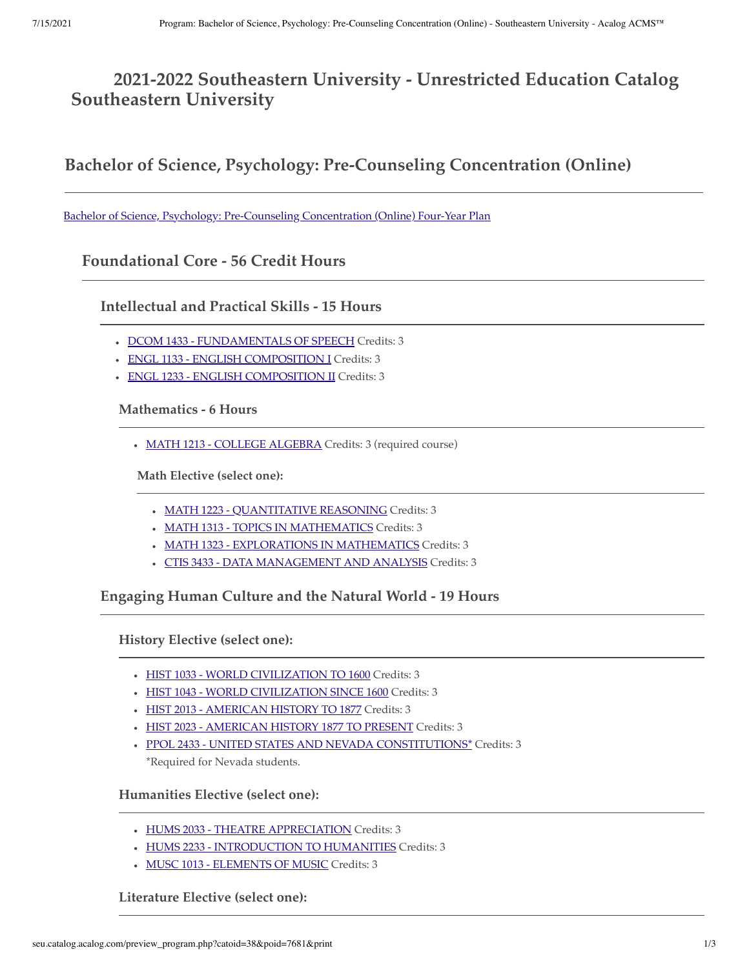# **2021-2022 Southeastern University - Unrestricted Education Catalog Southeastern University**

**Bachelor of Science, Psychology: Pre-Counseling Concentration (Online)**

[Bachelor of Science, Psychology: Pre-Counseling Concentration \(Online\) Four-Year Plan](http://seu.catalog.acalog.com/preview_program.php?catoid=38&poid=7682)

**Foundational Core - 56 Credit Hours**

**Intellectual and Practical Skills - 15 Hours**

- DCOM 1433 FUNDAMENTALS OF SPEECH Credits: 3
- ENGL 1133 ENGLISH COMPOSITION I Credits: 3
- ENGL 1233 ENGLISH COMPOSITION II Credits: 3

**Mathematics - 6 Hours**

• MATH 1213 - COLLEGE ALGEBRA Credits: 3 (required course)

**Math Elective (select one):**

- MATH 1223 QUANTITATIVE REASONING Credits: 3
- MATH 1313 TOPICS IN MATHEMATICS Credits: 3
- MATH 1323 EXPLORATIONS IN MATHEMATICS Credits: 3
- CTIS 3433 DATA MANAGEMENT AND ANALYSIS Credits: 3

**Engaging Human Culture and the Natural World - 19 Hours**

**History Elective (select one):**

- HIST 1033 WORLD CIVILIZATION TO 1600 Credits: 3
- HIST 1043 WORLD CIVILIZATION SINCE 1600 Credits: 3
- HIST 2013 AMERICAN HISTORY TO 1877 Credits: 3
- HIST 2023 AMERICAN HISTORY 1877 TO PRESENT Credits: 3
- PPOL 2433 UNITED STATES AND NEVADA CONSTITUTIONS\* Credits: 3 \*Required for Nevada students.

**Humanities Elective (select one):**

- HUMS 2033 THEATRE APPRECIATION Credits: 3
- HUMS 2233 INTRODUCTION TO HUMANITIES Credits: 3
- MUSC 1013 ELEMENTS OF MUSIC Credits: 3

**Literature Elective (select one):**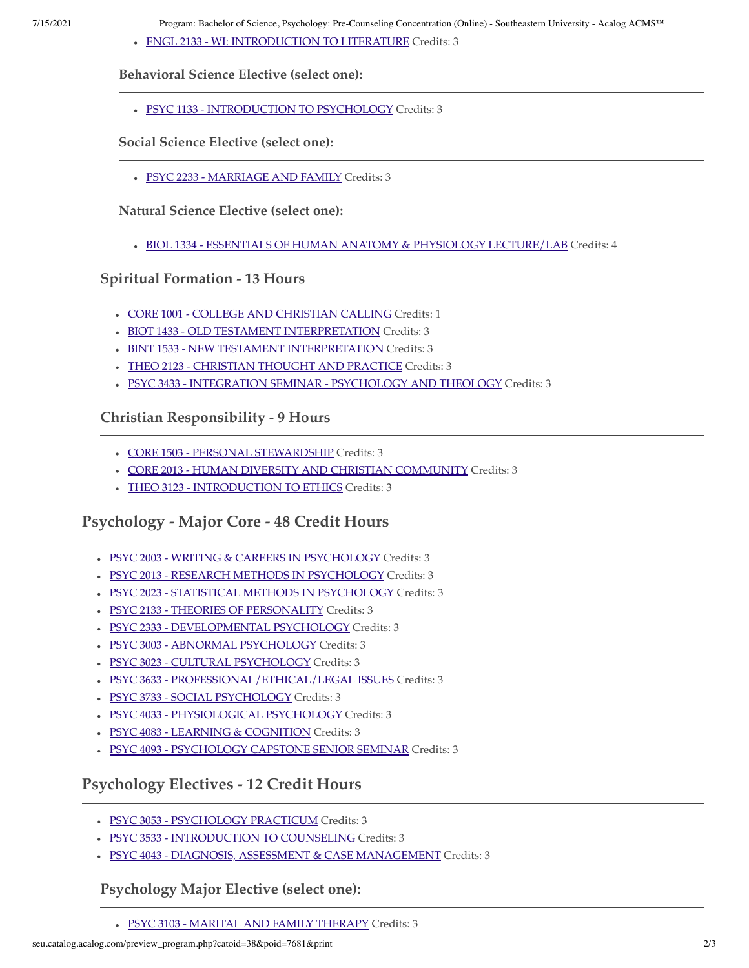- 7/15/2021 Program: Bachelor of Science, Psychology: Pre-Counseling Concentration (Online) Southeastern University Acalog ACMS™
	- ENGL 2133 WI: INTRODUCTION TO LITERATURE Credits: 3

#### **Behavioral Science Elective (select one):**

PSYC 1133 - INTRODUCTION TO PSYCHOLOGY Credits: 3

#### **Social Science Elective (select one):**

PSYC 2233 - MARRIAGE AND FAMILY Credits: 3

**Natural Science Elective (select one):**

BIOL 1334 - ESSENTIALS OF HUMAN ANATOMY & PHYSIOLOGY LECTURE/LAB Credits: 4

#### **Spiritual Formation - 13 Hours**

- CORE 1001 COLLEGE AND CHRISTIAN CALLING Credits: 1
- BIOT 1433 OLD TESTAMENT INTERPRETATION Credits: 3
- BINT 1533 NEW TESTAMENT INTERPRETATION Credits: 3
- THEO 2123 CHRISTIAN THOUGHT AND PRACTICE Credits: 3
- PSYC 3433 INTEGRATION SEMINAR PSYCHOLOGY AND THEOLOGY Credits: 3

### **Christian Responsibility - 9 Hours**

- CORE 1503 PERSONAL STEWARDSHIP Credits: 3
- CORE 2013 HUMAN DIVERSITY AND CHRISTIAN COMMUNITY Credits: 3
- THEO 3123 INTRODUCTION TO ETHICS Credits: 3

## **Psychology - Major Core - 48 Credit Hours**

- . PSYC 2003 WRITING & CAREERS IN PSYCHOLOGY Credits: 3
- · PSYC 2013 RESEARCH METHODS IN PSYCHOLOGY Credits: 3
- PSYC 2023 STATISTICAL METHODS IN PSYCHOLOGY Credits: 3
- PSYC 2133 THEORIES OF PERSONALITY Credits: 3
- PSYC 2333 DEVELOPMENTAL PSYCHOLOGY Credits: 3
- PSYC 3003 ABNORMAL PSYCHOLOGY Credits: 3
- PSYC 3023 CULTURAL PSYCHOLOGY Credits: 3
- · PSYC 3633 PROFESSIONAL/ETHICAL/LEGAL ISSUES Credits: 3
- PSYC 3733 SOCIAL PSYCHOLOGY Credits: 3
- PSYC 4033 PHYSIOLOGICAL PSYCHOLOGY Credits: 3
- PSYC 4083 LEARNING & COGNITION Credits: 3
- PSYC 4093 PSYCHOLOGY CAPSTONE SENIOR SEMINAR Credits: 3

## **Psychology Electives - 12 Credit Hours**

- PSYC 3053 PSYCHOLOGY PRACTICUM Credits: 3
- PSYC 3533 INTRODUCTION TO COUNSELING Credits: 3
- PSYC 4043 DIAGNOSIS, ASSESSMENT & CASE MANAGEMENT Credits: 3

### **Psychology Major Elective (select one):**

PSYC 3103 - MARITAL AND FAMILY THERAPY Credits: 3